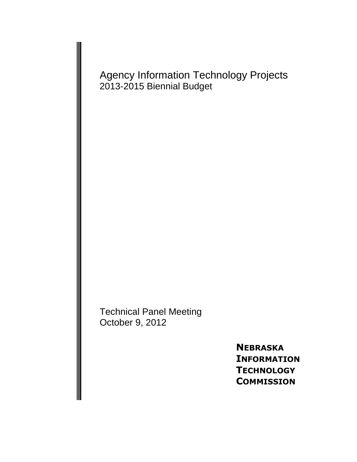Agency Information Technology Projects 2013-2015 Biennial Budget

Technical Panel Meeting October 9, 2012

> **NEBRASKA INFORMATION TECHNOLOGY COMMISSION**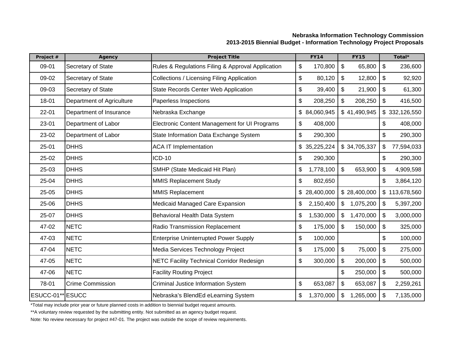# **Nebraska Information Technology Commission 2013-2015 Biennial Budget - Information Technology Project Proposals**

| Project #        | <b>Agency</b>             | <b>Project Title</b>                              | <b>FY14</b>                    | <b>FY15</b>                 | Total*           |
|------------------|---------------------------|---------------------------------------------------|--------------------------------|-----------------------------|------------------|
| 09-01            | Secretary of State        | Rules & Regulations Filing & Approval Application | \$<br>170,800                  | \$<br>236,600               |                  |
| 09-02            | Secretary of State        | <b>Collections / Licensing Filing Application</b> | \$<br>80,120                   | \$<br>12,800                | \$<br>92,920     |
| 09-03            | Secretary of State        | State Records Center Web Application              | \$<br>39,400                   | \$<br>21,900                | \$<br>61,300     |
| 18-01            | Department of Agriculture | Paperless Inspections                             | \$<br>208,250                  | \$<br>208,250               | \$<br>416,500    |
| $22 - 01$        | Department of Insurance   | Nebraska Exchange                                 | \$84,060,945                   | \$41,490,945                | \$332,126,550    |
| 23-01            | Department of Labor       | Electronic Content Management for UI Programs     | \$<br>408,000                  |                             | 408,000<br>\$    |
| 23-02            | Department of Labor       | State Information Data Exchange System            | \$<br>290,300                  |                             | \$<br>290,300    |
| $25 - 01$        | <b>DHHS</b>               | <b>ACA IT Implementation</b>                      | \$35,225,224                   | \$34,705,337                | 77,594,033<br>\$ |
| 25-02            | <b>DHHS</b>               | <b>ICD-10</b>                                     | \$<br>290,300                  |                             | 290,300<br>\$    |
| 25-03            | <b>DHHS</b>               | SMHP (State Medicaid Hit Plan)                    | \$<br>1,778,100                | \$<br>653,900               | \$<br>4,909,598  |
| 25-04            | <b>DHHS</b>               | <b>MMIS Replacement Study</b>                     | \$<br>802,650                  |                             | \$<br>3,864,120  |
| 25-05            | <b>DHHS</b>               | <b>MMIS Replacement</b>                           | \$28,400,000                   | \$28,400,000                | \$113,678,560    |
| 25-06            | <b>DHHS</b>               | Medicaid Managed Care Expansion                   | 2,150,400<br>\$                | 1,075,200<br>\$             | \$<br>5,397,200  |
| 25-07            | <b>DHHS</b>               | Behavioral Health Data System                     | 1,530,000<br>\$                | $\mathfrak{S}$<br>1,470,000 | \$<br>3,000,000  |
| 47-02            | <b>NETC</b>               | Radio Transmission Replacement                    | \$<br>175,000                  | \$<br>150,000               | \$<br>325,000    |
| 47-03            | <b>NETC</b>               | <b>Enterprise Uninterrupted Power Supply</b>      | \$<br>100,000                  |                             | \$<br>100,000    |
| 47-04            | <b>NETC</b>               | Media Services Technology Project                 | \$<br>\$<br>175,000<br>75,000  |                             | \$<br>275,000    |
| 47-05            | <b>NETC</b>               | <b>NETC Facility Technical Corridor Redesign</b>  | \$<br>\$<br>300,000<br>200,000 |                             | \$<br>500,000    |
| 47-06            | <b>NETC</b>               | <b>Facility Routing Project</b>                   |                                | 250,000<br>\$               | \$<br>500,000    |
| 78-01            | <b>Crime Commission</b>   | Criminal Justice Information System               | \$<br>653,087                  | \$<br>653,087               | 2,259,261<br>\$  |
| ESUCC-01** ESUCC |                           | Nebraska's BlendEd eLearning System               | \$<br>1,370,000                | \$<br>1,265,000             | 7,135,000<br>\$  |

\*Total may include prior year or future planned costs in addition to biennial budget request amounts.

\*\*A voluntary review requested by the submitting entity. Not submitted as an agency budget request.

Note: No review necessary for project #47-01. The project was outside the scope of review requirements.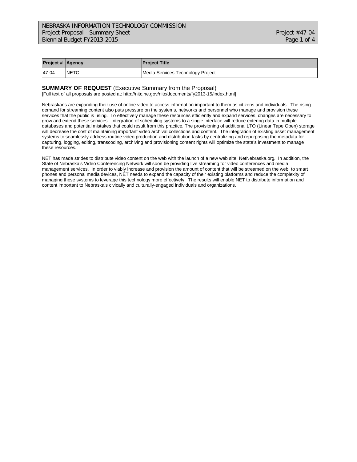| <b>Project # Agency</b> |             | <b>Project Title</b>              |
|-------------------------|-------------|-----------------------------------|
| 47-04                   | <b>NETC</b> | Media Services Technology Project |

#### **SUMMARY OF REQUEST** (Executive Summary from the Proposal)

[Full text of all proposals are posted at: http://nitc.ne.gov/nitc/documents/fy2013-15/index.html]

Nebraskans are expanding their use of online video to access information important to them as citizens and individuals. The rising demand for streaming content also puts pressure on the systems, networks and personnel who manage and provision these services that the public is using. To effectively manage these resources efficiently and expand services, changes are necessary to grow and extend these services. Integration of scheduling systems to a single interface will reduce entering data in multiple databases and potential mistakes that could result from this practice. The provisioning of additional LTO (Linear Tape Open) storage will decrease the cost of maintaining important video archival collections and content. The integration of existing asset management systems to seamlessly address routine video production and distribution tasks by centralizing and repurposing the metadata for capturing, logging, editing, transcoding, archiving and provisioning content rights will optimize the state's investment to manage these resources.

NET has made strides to distribute video content on the web with the launch of a new web site, NetNebraska.org. In addition, the State of Nebraska's Video Conferencing Network will soon be providing live streaming for video conferences and media management services. In order to viably increase and provision the amount of content that will be streamed on the web, to smart phones and personal media devices, NET needs to expand the capacity of their existing platforms and reduce the complexity of managing these systems to leverage this technology more effectively. The results will enable NET to distribute information and content important to Nebraska's civically and culturally-engaged individuals and organizations.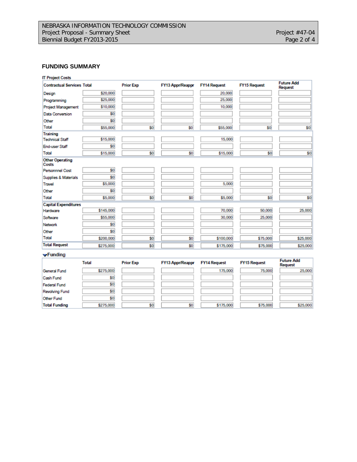### **FUNDING SUMMARY**

| <b>IT Project Costs</b><br><b>Contractual Services Total</b> |           | <b>Prior Exp</b> | FY13 Appr/Reappr | <b>FY14 Request</b> | <b>FY15 Request</b> | <b>Future Add</b><br>Request |
|--------------------------------------------------------------|-----------|------------------|------------------|---------------------|---------------------|------------------------------|
| Design                                                       | \$20,000  |                  |                  | 20,000              |                     |                              |
| Programming                                                  | \$25,000  |                  |                  | 25,000              |                     |                              |
| <b>Project Management</b>                                    | \$10,000  |                  |                  | 10,000              |                     |                              |
| <b>Data Conversion</b>                                       | \$0       |                  |                  |                     |                     |                              |
| Other                                                        | \$0       |                  |                  |                     |                     |                              |
| Total                                                        | \$55,000  | \$0              | \$0              | \$55,000            | \$0                 | \$0                          |
| Training                                                     |           |                  |                  |                     |                     |                              |
| <b>Technical Staff</b>                                       | \$15,000  |                  |                  | 15,000              |                     |                              |
| <b>End-user Staff</b>                                        | \$0       |                  |                  |                     |                     |                              |
| Total                                                        | \$15,000  | \$0              | \$0              | \$15,000            | \$0                 | \$0                          |
| <b>Other Operating</b><br>Costs                              |           |                  |                  |                     |                     |                              |
| <b>Personnnel Cost</b>                                       | \$0       |                  |                  |                     |                     |                              |
| Supplies & Materials                                         | \$0       |                  |                  |                     |                     |                              |
| <b>Travel</b>                                                | \$5,000   |                  |                  | 5,000               |                     |                              |
| Other                                                        | \$0       |                  |                  |                     |                     |                              |
| Total                                                        | \$5,000   | \$0              | \$0              | \$5,000             | \$0                 | \$0                          |
| <b>Capital Expenditures</b>                                  |           |                  |                  |                     |                     |                              |
| Hardware                                                     | \$145,000 |                  |                  | 70,000              | 50,000              | 25,000                       |
| Software                                                     | \$55,000  |                  |                  | 30,000              | 25,000              |                              |
| <b>Network</b>                                               | \$0       |                  |                  |                     |                     |                              |
| Other                                                        | \$0       |                  |                  |                     |                     |                              |
| Total                                                        | \$200,000 | \$0              | \$0              | \$100,000           | \$75,000            | \$25,000                     |
| <b>Total Request</b>                                         | \$275,000 | \$0              | \$0              | \$175,000           | \$75,000            | \$25,000                     |

 $\blacktriangleright$ Funding

|                       | Total     | <b>Prior Exp</b> | <b>FY13 Appr/Reappr</b> | <b>FY14 Request</b> | <b>FY15 Request</b> | <b>Future Add</b><br>Request |
|-----------------------|-----------|------------------|-------------------------|---------------------|---------------------|------------------------------|
| General Fund          | \$275,000 |                  |                         | 175,000             | 75,000              | 25,000                       |
| Cash Fund             | \$0       |                  |                         |                     |                     |                              |
| <b>Federal Fund</b>   | \$0       |                  |                         |                     |                     |                              |
| <b>Revolving Fund</b> | \$0       |                  |                         |                     |                     |                              |
| Other Fund            | \$0       |                  |                         |                     |                     |                              |
| <b>Total Funding</b>  | \$275,000 | \$0              | \$0                     | \$175,000           | \$75,000            | \$25,000                     |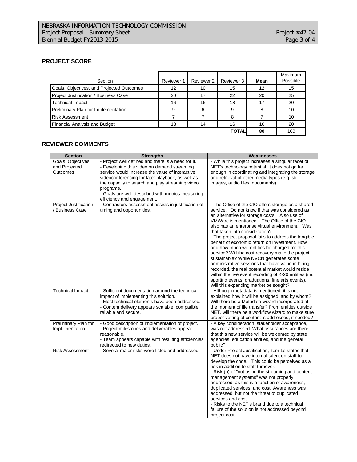# **PROJECT SCORE**

| Section                                   | Reviewer 1 | Reviewer 2 | Reviewer 3   | Mean | Maximum<br>Possible |
|-------------------------------------------|------------|------------|--------------|------|---------------------|
|                                           |            |            |              |      |                     |
| Goals, Objectives, and Projected Outcomes | 12         | 10         | 15           | 12   | 15                  |
| Project Justification / Business Case     | 20         | 17         | 22           | 20   | 25                  |
| <b>Technical Impact</b>                   | 16         | 16         | 18           | 17   | 20                  |
| Preliminary Plan for Implementation       | 9          | 6          | 9            | 8    | 10                  |
| <b>Risk Assessment</b>                    |            |            |              |      | 10                  |
| <b>Financial Analysis and Budget</b>      | 18         | 14         | 16           | 16   | 20                  |
|                                           |            |            | <b>TOTAL</b> | 80   | 100                 |

#### **REVIEWER COMMENTS**

| <b>Section</b>                                  | <b>Strengths</b>                                                                                                                                                                                                                                                                                                                                            | <b>Weaknesses</b>                                                                                                                                                                                                                                                                                                                                                                                                                                                                                                                                                                                                                                                                                                                                                                                                |
|-------------------------------------------------|-------------------------------------------------------------------------------------------------------------------------------------------------------------------------------------------------------------------------------------------------------------------------------------------------------------------------------------------------------------|------------------------------------------------------------------------------------------------------------------------------------------------------------------------------------------------------------------------------------------------------------------------------------------------------------------------------------------------------------------------------------------------------------------------------------------------------------------------------------------------------------------------------------------------------------------------------------------------------------------------------------------------------------------------------------------------------------------------------------------------------------------------------------------------------------------|
| Goals, Objectives,<br>and Projected<br>Outcomes | - Project well defined and there is a need for it.<br>- Developing this video on demand streaming<br>service would increase the value of interactive<br>videoconferencing for later playback, as well as<br>the capacity to search and play streaming video<br>programs.<br>- Goals are well described with metrics measuring<br>efficiency and engagement. | - While this project increases a singular facet of<br>NET's technology potential, it does not go far<br>enough in coordinating and integrating the storage<br>and retrieval of other media types (e.g. still<br>images, audio files, documents).                                                                                                                                                                                                                                                                                                                                                                                                                                                                                                                                                                 |
| Project Justification<br>/ Business Case        | - Contractors assessment assists in justification of<br>timing and opportunities.                                                                                                                                                                                                                                                                           | - The Office of the CIO offers storage as a shared<br>service. Do not know if that was considered as<br>an alternative for storage costs. Also use of<br>VMWare is mentioned. The Office of the CIO<br>also has an enterprise virtual environment. Was<br>that taken into consideration?<br>- The project proposal fails to address the tangible<br>benefit of economic return on investment. How<br>and how much will entities be charged for this<br>service? Will the cost recovery make the project<br>sustainable? While NVCN generates some<br>administrative sessions that have value in being<br>recorded, the real potential market would reside<br>within the live event recording of K-20 entities (i.e.<br>sporting events, graduations, fine arts events).<br>Will this expanding market be sought? |
| <b>Technical Impact</b>                         | - Sufficient documentation around the technical<br>impact of implementing this solution.<br>- Most technical elements have been addressed.<br>- Content delivery appears scalable, compatible,<br>reliable and secure.                                                                                                                                      | - Although metadata is mentioned, it is not<br>explained how it will be assigned, and by whom?<br>Will there be a Metadata wizard incorporated at<br>the moment of file transfer? From entities outside<br>NET, will there be a workflow wizard to make sure<br>proper vetting of content is addressed, if needed?                                                                                                                                                                                                                                                                                                                                                                                                                                                                                               |
| Preliminary Plan for<br>Implementation          | - Good description of implementation of project.<br>- Project milestones and deliverables appear<br>reasonable.<br>- Team appears capable with resulting efficiencies<br>redirected to new duties.                                                                                                                                                          | - A key consideration, stakeholder acceptance,<br>was not addressed. What assurances are there<br>that this new service will be welcomed by state<br>agencies, education entities, and the general<br>public?                                                                                                                                                                                                                                                                                                                                                                                                                                                                                                                                                                                                    |
| <b>Risk Assessment</b>                          | - Several major risks were listed and addressed.                                                                                                                                                                                                                                                                                                            | - Under Project Justification, item 1e states that<br>NET does not have internal talent on staff to<br>develop the code. This could be perceived as a<br>risk in addition to staff turnover.<br>- Risk (b) of "not using the streaming and content<br>management systems" was not properly<br>addressed, as this is a function of awareness,<br>duplicated services, and cost. Awareness was<br>addressed, but not the threat of duplicated<br>services and cost.<br>- Risks to the NET's brand due to a technical<br>failure of the solution is not addressed beyond<br>project cost.                                                                                                                                                                                                                           |